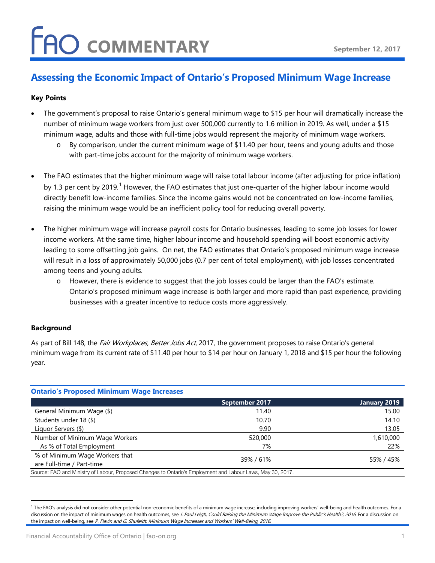### **FAO COMMENTARY**

### **Assessing the Economic Impact of Ontario's Proposed Minimum Wage Increase**

#### **Key Points**

- The government's proposal to raise Ontario's general minimum wage to \$15 per hour will dramatically increase the number of minimum wage workers from just over 500,000 currently to 1.6 million in 2019. As well, under a \$15 minimum wage, adults and those with full-time jobs would represent the majority of minimum wage workers.
	- o By comparison, under the current minimum wage of \$11.40 per hour, teens and young adults and those with part-time jobs account for the majority of minimum wage workers.
- The FAO estimates that the higher minimum wage will raise total labour income (after adjusting for price inflation) by [1](#page-0-0).3 per cent by 2019.<sup>1</sup> However, the FAO estimates that just one-quarter of the higher labour income would directly benefit low-income families. Since the income gains would not be concentrated on low-income families, raising the minimum wage would be an inefficient policy tool for reducing overall poverty.
- The higher minimum wage will increase payroll costs for Ontario businesses, leading to some job losses for lower income workers. At the same time, higher labour income and household spending will boost economic activity leading to some offsetting job gains. On net, the FAO estimates that Ontario's proposed minimum wage increase will result in a loss of approximately 50,000 jobs (0.7 per cent of total employment), with job losses concentrated among teens and young adults.
	- o However, there is evidence to suggest that the job losses could be larger than the FAO's estimate. Ontario's proposed minimum wage increase is both larger and more rapid than past experience, providing businesses with a greater incentive to reduce costs more aggressively.

#### **Background**

As part of Bill 148, the *Fair Workplaces, Better Jobs Act*, 2017, the government proposes to raise Ontario's general minimum wage from its current rate of \$11.40 per hour to \$14 per hour on January 1, 2018 and \$15 per hour the following year.

| <b>Ontario's Proposed Minimum Wage Increases</b>                                                            |                |              |
|-------------------------------------------------------------------------------------------------------------|----------------|--------------|
|                                                                                                             | September 2017 | January 2019 |
| General Minimum Wage (\$)                                                                                   | 11.40          | 15.00        |
| Students under 18 (\$)                                                                                      | 10.70          | 14.10        |
| Liquor Servers (\$)                                                                                         | 9.90           | 13.05        |
| Number of Minimum Wage Workers                                                                              | 520,000        | 1,610,000    |
| As % of Total Employment                                                                                    | 7%             | 22%          |
| % of Minimum Wage Workers that<br>are Full-time / Part-time                                                 | 39%/61%        | 55%/45%      |
| Source: FAO and Ministry of Labour, Proposed Changes to Ontario's Employment and Labour Laws, May 30, 2017. |                |              |

<span id="page-0-0"></span> <sup>1</sup> The FAO's analysis did not consider other potential non-economic benefits of a minimum wage increase, including improving workers' well-being and health outcomes. For a discussion on the impact of minimum wages on health outcomes, see J. Paul Leigh, Could Raising the Minimum Wage Improve the Public's Health?, 2016. For a discussion on the impact on well-being, see P. Flavin and G. Shufeldt, Minimum Wage Increases and Workers' Well-Being, 2016.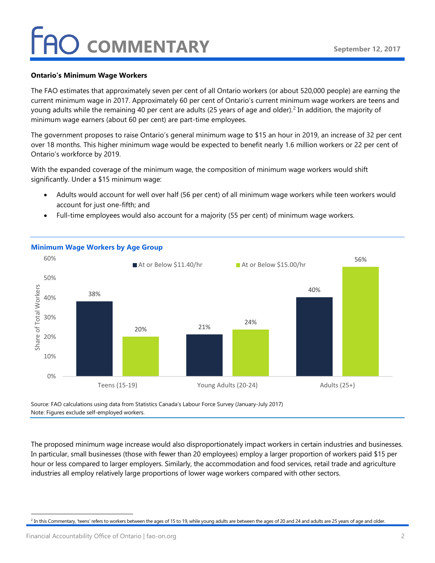### **COMMENTARY**

#### **Ontario's Minimum Wage Workers**

The FAO estimates that approximately seven per cent of all Ontario workers (or about 520,000 people) are earning the current minimum wage in 2017. Approximately 60 per cent of Ontario's current minimum wage workers are teens and young adults while the remaining 40 per cent are adults (25 years of age and older). [2](#page-1-0) In addition, the majority of minimum wage earners (about 60 per cent) are part-time employees.

The government proposes to raise Ontario's general minimum wage to \$15 an hour in 2019, an increase of 32 per cent over 18 months. This higher minimum wage would be expected to benefit nearly 1.6 million workers or 22 per cent of Ontario's workforce by 2019.

With the expanded coverage of the minimum wage, the composition of minimum wage workers would shift significantly. Under a \$15 minimum wage:

- Adults would account for well over half (56 per cent) of all minimum wage workers while teen workers would account for just one-fifth; and
- Full-time employees would also account for a majority (55 per cent) of minimum wage workers.



#### **Minimum Wage Workers by Age Group**

Source: FAO calculations using data from Statistics Canada's Labour Force Survey (January-July 2017) Note: Figures exclude self-employed workers.

The proposed minimum wage increase would also disproportionately impact workers in certain industries and businesses. In particular, small businesses (those with fewer than 20 employees) employ a larger proportion of workers paid \$15 per hour or less compared to larger employers. Similarly, the accommodation and food services, retail trade and agriculture industries all employ relatively large proportions of lower wage workers compared with other sectors.

<span id="page-1-0"></span><sup>&</sup>lt;sup>2</sup> In this Commentary, 'teens' refers to workers between the ages of 15 to 19, while young adults are between the ages of 20 and 24 and adults are 25 years of age and older.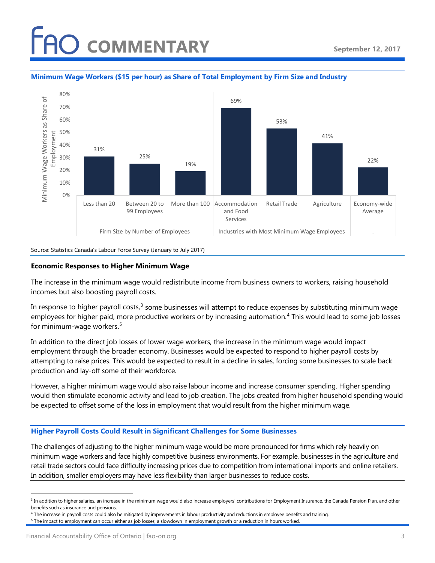# **AO COMMENTARY**



#### **Minimum Wage Workers (\$15 per hour) as Share of Total Employment by Firm Size and Industry**

Source: Statistics Canada's Labour Force Survey (January to July 2017)

#### **Economic Responses to Higher Minimum Wage**

The increase in the minimum wage would redistribute income from business owners to workers, raising household incomes but also boosting payroll costs.

In response to higher payroll costs, $3$  some businesses will attempt to reduce expenses by substituting minimum wage employees for higher paid, more productive workers or by increasing automation. [4](#page-2-1) This would lead to some job losses for minimum-wage workers.<sup>[5](#page-2-2)</sup>

In addition to the direct job losses of lower wage workers, the increase in the minimum wage would impact employment through the broader economy. Businesses would be expected to respond to higher payroll costs by attempting to raise prices. This would be expected to result in a decline in sales, forcing some businesses to scale back production and lay-off some of their workforce.

However, a higher minimum wage would also raise labour income and increase consumer spending. Higher spending would then stimulate economic activity and lead to job creation. The jobs created from higher household spending would be expected to offset some of the loss in employment that would result from the higher minimum wage.

#### **Higher Payroll Costs Could Result in Significant Challenges for Some Businesses**

The challenges of adjusting to the higher minimum wage would be more pronounced for firms which rely heavily on minimum wage workers and face highly competitive business environments. For example, businesses in the agriculture and retail trade sectors could face difficulty increasing prices due to competition from international imports and online retailers. In addition, smaller employers may have less flexibility than larger businesses to reduce costs.

<span id="page-2-0"></span><sup>&</sup>lt;sup>3</sup> In addition to higher salaries, an increase in the minimum wage would also increase employers' contributions for Employment Insurance, the Canada Pension Plan, and other benefits such as insurance and pensions.

<sup>&</sup>lt;sup>4</sup> The increase in payroll costs could also be mitigated by improvements in labour productivity and reductions in employee benefits and training.

<span id="page-2-2"></span><span id="page-2-1"></span> $5$  The impact to employment can occur either as job losses, a slowdown in employment growth or a reduction in hours worked.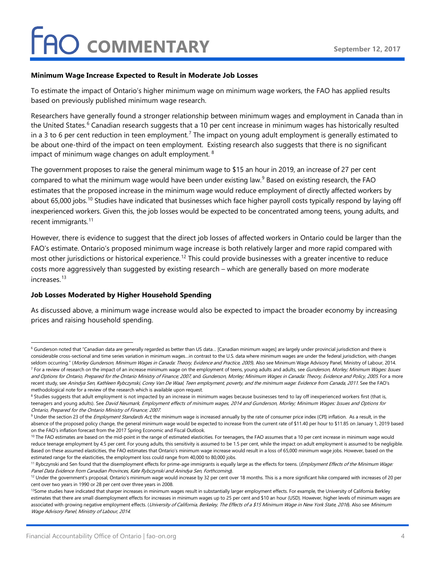#### **Minimum Wage Increase Expected to Result in Moderate Job Losses**

To estimate the impact of Ontario's higher minimum wage on minimum wage workers, the FAO has applied results based on previously published minimum wage research.

Researchers have generally found a stronger relationship between minimum wages and employment in Canada than in the United States.<sup>[6](#page-3-0)</sup> Canadian research suggests that a 10 per cent increase in minimum wages has historically resulted in a 3 to 6 per cent reduction in teen employment.<sup>[7](#page-3-1)</sup> The impact on young adult employment is generally estimated to be about one-third of the impact on teen employment. Existing research also suggests that there is no significant impact of minimum wage changes on adult employment. <sup>[8](#page-3-2)</sup>

The government proposes to raise the general minimum wage to \$15 an hour in 2019, an increase of 27 per cent compared to what the minimum wage would have been under existing law.<sup>[9](#page-3-3)</sup> Based on existing research, the FAO estimates that the proposed increase in the minimum wage would reduce employment of directly affected workers by about 65,000 jobs.<sup>[10](#page-3-4)</sup> Studies have indicated that businesses which face higher payroll costs typically respond by laying off inexperienced workers. Given this, the job losses would be expected to be concentrated among teens, young adults, and recent immigrants.<sup>[11](#page-3-5)</sup>

However, there is evidence to suggest that the direct job losses of affected workers in Ontario could be larger than the FAO's estimate. Ontario's proposed minimum wage increase is both relatively larger and more rapid compared with most other jurisdictions or historical experience.<sup>[12](#page-3-6)</sup> This could provide businesses with a greater incentive to reduce costs more aggressively than suggested by existing research – which are generally based on more moderate increases.[13](#page-3-7)

#### **Job Losses Moderated by Higher Household Spending**

As discussed above, a minimum wage increase would also be expected to impact the broader economy by increasing prices and raising household spending.

<span id="page-3-0"></span><sup>&</sup>lt;sup>6</sup> Gunderson noted that "Canadian data are generally regarded as better than US data... [Canadian minimum wages] are largely under provincial jurisdiction and there is considerable cross-sectional and time series variation in minimum wages…in contrast to the U.S. data where minimum wages are under the federal jurisdiction, with changes seldom occurring." (Morley Gunderson, Minimum Wages in Canada: Theory, Evidence and Practice, 2005). Also see Minimum Wage Advisory Panel, Ministry of Labour, 2014.

<span id="page-3-1"></span><sup>&</sup>lt;sup>7</sup> For a review of research on the impact of an increase minimum wage on the employment of teens, young adults and adults, see Gunderson, Morley; Minimum Wages: Issues and Options for Ontario, Prepared for the Ontario Ministry of Finance; 2007, and Gunderson, Morley; Minimum Wages in Canada: Theory, Evidence and Policy, 2005. For a more recent study, see Anindya Sen, Kathleen Rybczynski, Corey Van De Waal, Teen employment, poverty, and the minimum wage: Evidence from Canada, 2011. See the FAO's methodological note for a review of the research which is available upon request.

<span id="page-3-2"></span><sup>&</sup>lt;sup>8</sup> Studies suggests that adult employment is not impacted by an increase in minimum wages because businesses tend to lay off inexperienced workers first (that is, teenagers and young adults). See David Neumark, Employment effects of minimum wages, 2014 and Gunderson, Morley; Minimum Wages: Issues and Options for Ontario, Prepared for the Ontario Ministry of Finance; 2007.

<span id="page-3-3"></span><sup>&</sup>lt;sup>9</sup> Under the section 23 of the *Employment Standards Act*, the minimum wage is increased annually by the rate of consumer price index (CPI) inflation. As a result, in the absence of the proposed policy change, the general minimum wage would be expected to increase from the current rate of \$11.40 per hour to \$11.85 on January 1, 2019 based on the FAO's inflation forecast from the 2017 Spring Economic and Fiscal Outlook.

<span id="page-3-4"></span><sup>&</sup>lt;sup>10</sup> The FAO estimates are based on the mid-point in the range of estimated elasticities. For teenagers, the FAO assumes that a 10 per cent increase in minimum wage would reduce teenage employment by 4.5 per cent. For young adults, this sensitivity is assumed to be 1.5 per cent, while the impact on adult employment is assumed to be negligible. Based on these assumed elasticities, the FAO estimates that Ontario's minimum wage increase would result in a loss of 65,000 minimum wage jobs. However, based on the estimated range for the elasticities, the employment loss could range from 40,000 to 80,000 jobs.

<span id="page-3-5"></span><sup>&</sup>lt;sup>11</sup> Rybczynski and Sen found that the disemployment effects for prime-age immigrants is equally large as the effects for teens. (Employment Effects of the Minimum Wage: Panel Data Evidence from Canadian Provinces, Kate Rybczynski and Anindya Sen, Forthcoming).

<span id="page-3-6"></span><sup>&</sup>lt;sup>12</sup> Under the government's proposal, Ontario's minimum wage would increase by 32 per cent over 18 months. This is a more significant hike compared with increases of 20 per cent over two years in 1990 or 28 per cent over three years in 2008.

<span id="page-3-7"></span><sup>&</sup>lt;sup>13</sup>Some studies have indicated that sharper increases in minimum wages result in substantially larger employment effects. For example, the University of California Berkley estimates that there are small disemployment effects for increases in minimum wages up to 25 per cent and \$10 an hour (USD). However, higher levels of minimum wages are associated with growing negative employment effects. (University of California, Berkeley, The Effects of a \$15 Minimum Wage in New York State, 2016). Also see Minimum Wage Advisory Panel, Ministry of Labour, 2014.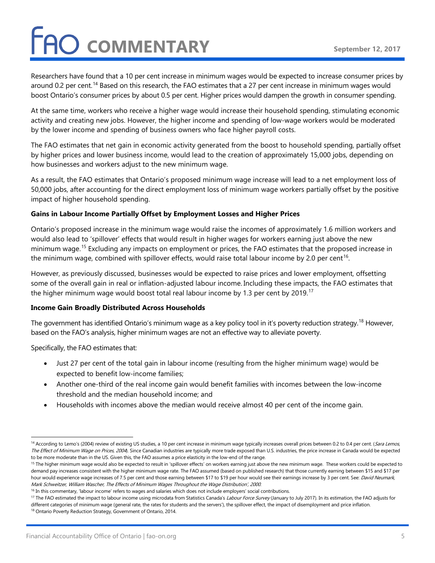# **FAO COMMENTARY**

Researchers have found that a 10 per cent increase in minimum wages would be expected to increase consumer prices by around 0.2 per cent.<sup>[14](#page-4-0)</sup> Based on this research, the FAO estimates that a 27 per cent increase in minimum wages would boost Ontario's consumer prices by about 0.5 per cent. Higher prices would dampen the growth in consumer spending.

At the same time, workers who receive a higher wage would increase their household spending, stimulating economic activity and creating new jobs. However, the higher income and spending of low-wage workers would be moderated by the lower income and spending of business owners who face higher payroll costs.

The FAO estimates that net gain in economic activity generated from the boost to household spending, partially offset by higher prices and lower business income, would lead to the creation of approximately 15,000 jobs, depending on how businesses and workers adjust to the new minimum wage.

As a result, the FAO estimates that Ontario's proposed minimum wage increase will lead to a net employment loss of 50,000 jobs, after accounting for the direct employment loss of minimum wage workers partially offset by the positive impact of higher household spending.

#### **Gains in Labour Income Partially Offset by Employment Losses and Higher Prices**

Ontario's proposed increase in the minimum wage would raise the incomes of approximately 1.6 million workers and would also lead to 'spillover' effects that would result in higher wages for workers earning just above the new minimum wage. [15](#page-4-1) Excluding any impacts on employment or prices, the FAO estimates that the proposed increase in the minimum wage, combined with spillover effects, would raise total labour income by 2.0 per cent<sup>[16](#page-4-2)</sup>.

However, as previously discussed, businesses would be expected to raise prices and lower employment, offsetting some of the overall gain in real or inflation-adjusted labour income. Including these impacts, the FAO estimates that the higher minimum wage would boost total real labour income by 1.3 per cent by 2019. $^{\rm 17}$  $^{\rm 17}$  $^{\rm 17}$ 

#### **Income Gain Broadly Distributed Across Households**

The government has identified Ontario's minimum wage as a key policy tool in it's poverty reduction strategy.<sup>[18](#page-4-4)</sup> However, based on the FAO's analysis, higher minimum wages are not an effective way to alleviate poverty.

Specifically, the FAO estimates that:

- Just 27 per cent of the total gain in labour income (resulting from the higher minimum wage) would be expected to benefit low-income families;
- Another one-third of the real income gain would benefit families with incomes between the low-income threshold and the median household income; and
- Households with incomes above the median would receive almost 40 per cent of the income gain.

<span id="page-4-0"></span><sup>&</sup>lt;sup>14</sup> According to Lemo's (2004) review of existing US studies, a 10 per cent increase in minimum wage typically increases overall prices between 0.2 to 0.4 per cent. (Sara Lemos, The Effect of Minimum Wage on Prices, 2004). Since Canadian industries are typically more trade exposed than U.S. industries, the price increase in Canada would be expected to be more moderate than in the US. Given this, the FAO assumes a price elasticity in the low-end of the range.

<span id="page-4-1"></span><sup>&</sup>lt;sup>15</sup> The higher minimum wage would also be expected to result in 'spillover effects' on workers earning just above the new minimum wage. These workers could be expected to demand pay increases consistent with the higher minimum wage rate. The FAO assumed (based on published research) that those currently earning between \$15 and \$17 per hour would experience wage increases of 7.5 per cent and those earning between \$17 to \$19 per hour would see their earnings increase by 3 per cent. See: David Neumark, Mark Schweitzer, William Wascher, The Effects of Minimum Wages Throughout the Wage Distribution', 2000.

<span id="page-4-2"></span><sup>&</sup>lt;sup>16</sup> In this commentary, 'labour income' refers to wages and salaries which does not include employers' social contributions.

<span id="page-4-4"></span><span id="page-4-3"></span><sup>&</sup>lt;sup>17</sup> The FAO estimated the impact to labour income using microdata from Statistics Canada's *Labour Force Survey* (January to July 2017). In its estimation, the FAO adjusts for different categories of minimum wage (general rate, the rates for students and the servers'), the spillover effect, the impact of disemployment and price inflation. <sup>18</sup> Ontario Poverty Reduction Strategy, Government of Ontario, 2014.